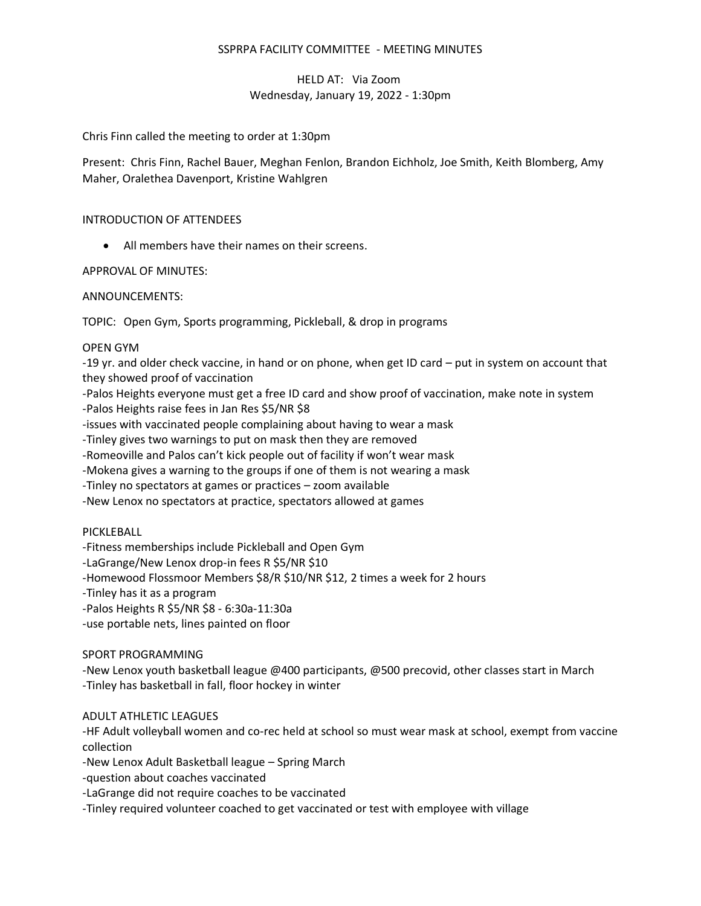### SSPRPA FACILITY COMMITTEE - MEETING MINUTES

# HELD AT: Via Zoom Wednesday, January 19, 2022 - 1:30pm

Chris Finn called the meeting to order at 1:30pm

Present: Chris Finn, Rachel Bauer, Meghan Fenlon, Brandon Eichholz, Joe Smith, Keith Blomberg, Amy Maher, Oralethea Davenport, Kristine Wahlgren

### INTRODUCTION OF ATTENDEES

• All members have their names on their screens.

### APPROVAL OF MINUTES:

### ANNOUNCEMENTS:

TOPIC: Open Gym, Sports programming, Pickleball, & drop in programs

#### OPEN GYM

-19 yr. and older check vaccine, in hand or on phone, when get ID card – put in system on account that they showed proof of vaccination

-Palos Heights everyone must get a free ID card and show proof of vaccination, make note in system

-Palos Heights raise fees in Jan Res \$5/NR \$8

-issues with vaccinated people complaining about having to wear a mask

-Tinley gives two warnings to put on mask then they are removed

-Romeoville and Palos can't kick people out of facility if won't wear mask

-Mokena gives a warning to the groups if one of them is not wearing a mask

-Tinley no spectators at games or practices – zoom available

-New Lenox no spectators at practice, spectators allowed at games

PICKLEBALL

-Fitness memberships include Pickleball and Open Gym

-LaGrange/New Lenox drop-in fees R \$5/NR \$10

-Homewood Flossmoor Members \$8/R \$10/NR \$12, 2 times a week for 2 hours

-Tinley has it as a program

-Palos Heights R \$5/NR \$8 - 6:30a-11:30a

-use portable nets, lines painted on floor

# SPORT PROGRAMMING

-New Lenox youth basketball league @400 participants, @500 precovid, other classes start in March -Tinley has basketball in fall, floor hockey in winter

# ADULT ATHLETIC LEAGUES

-HF Adult volleyball women and co-rec held at school so must wear mask at school, exempt from vaccine collection

-New Lenox Adult Basketball league – Spring March

-question about coaches vaccinated

-LaGrange did not require coaches to be vaccinated

-Tinley required volunteer coached to get vaccinated or test with employee with village